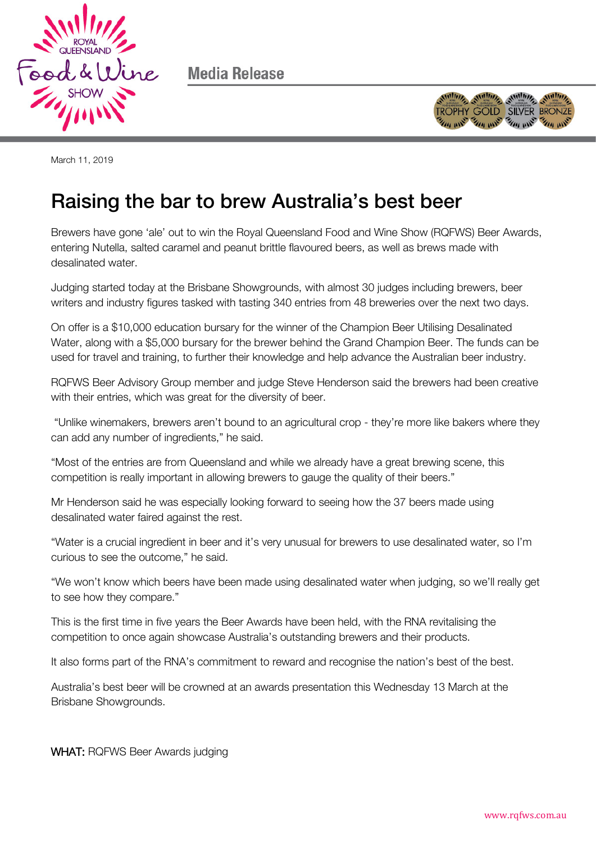

Media Release



March 11, 2019

## Raising the bar to brew Australia's best beer

Brewers have gone 'ale' out to win the Royal Queensland Food and Wine Show (RQFWS) Beer Awards, entering Nutella, salted caramel and peanut brittle flavoured beers, as well as brews made with desalinated water.

Judging started today at the Brisbane Showgrounds, with almost 30 judges including brewers, beer writers and industry figures tasked with tasting 340 entries from 48 breweries over the next two days.

On offer is a \$10,000 education bursary for the winner of the Champion Beer Utilising Desalinated Water, along with a \$5,000 bursary for the brewer behind the Grand Champion Beer. The funds can be used for travel and training, to further their knowledge and help advance the Australian beer industry.

RQFWS Beer Advisory Group member and judge Steve Henderson said the brewers had been creative with their entries, which was great for the diversity of beer.

"Unlike winemakers, brewers aren't bound to an agricultural crop - they're more like bakers where they can add any number of ingredients," he said.

"Most of the entries are from Queensland and while we already have a great brewing scene, this competition is really important in allowing brewers to gauge the quality of their beers."

Mr Henderson said he was especially looking forward to seeing how the 37 beers made using desalinated water faired against the rest.

"Water is a crucial ingredient in beer and it's very unusual for brewers to use desalinated water, so I'm curious to see the outcome," he said.

"We won't know which beers have been made using desalinated water when judging, so we'll really get to see how they compare."

This is the first time in five years the Beer Awards have been held, with the RNA revitalising the competition to once again showcase Australia's outstanding brewers and their products.

It also forms part of the RNA's commitment to reward and recognise the nation's best of the best.

Australia's best beer will be crowned at an awards presentation this Wednesday 13 March at the Brisbane Showgrounds.

WHAT: RQFWS Beer Awards judging